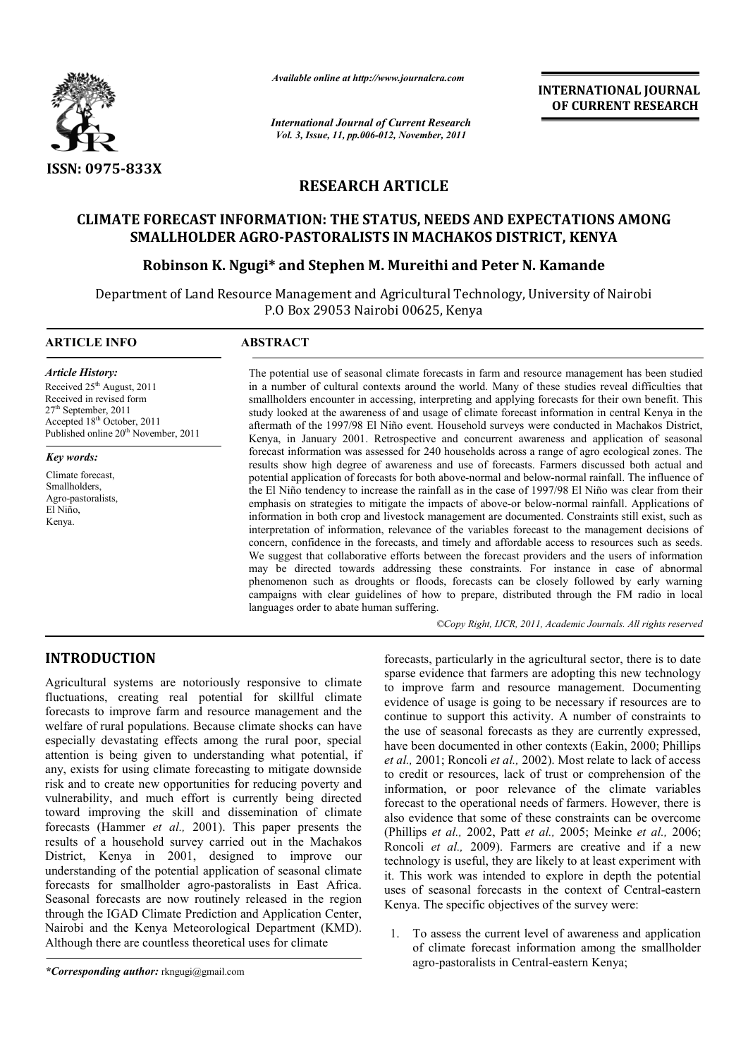

*Available online at http://www.journalcra.com*

*International Journal of Current Research Vol. 3, Issue, 11, pp.006-012, November, 2011*

**INTERNATIONAL JOURNAL OF CURRENT RESEARCH** 

# **RESEARCH ARTICLE**

## **CLIMATE FORECAST INFORMATION: THE STATUS, NEEDS AND EXPECTATIONS AMONG SMALLHOLDER AGRO-PASTORALISTS IN MACHAKOS DISTRICT, KENYA**

## **Robinson K. Ngugi\* and Stephen M. Mureithi and Peter N. Kamande**

Department of Land Resource Management and Agricultural Technology, University of Nairobi P.O Box 29053 Nairobi 00625, Kenya

## **ARTICLE INFO ABSTRACT**

*Article History:* Received  $25<sup>th</sup>$  August, 2011 Received in revised form 27<sup>th</sup> September, 2011  $\text{Accepted } 18^{\text{th}} \text{ October}$ , 2011 Published online 20<sup>th</sup> November, 2011

#### *Key words:*

Climate forecast, Smallholders, Agro-pastoralists, El Niño, Kenya.

The potential use of seasonal climate forecasts in farm and resource management has been studied in a number of cultural contexts around the world. Many of these studies reveal difficulties that smallholders encounter in accessing, interpreting and applying forecasts for their own benefit. This study looked at the awareness of and usage of climate forecast information in central Kenya in the aftermath of the 1997/98 El Niño event. Household surveys were conducted in Machakos District, Kenya, in January 2001. Retrospective and concurrent awareness and application of seasonal forecast information was assessed for 240 households across a range of agro ecological zones. The results show high degree of awareness and use of forecasts. Farmers discussed both actual and potential application of forecasts for both above-normal and below-normal rainfall. The influence of the El Niño tendency to increase the rainfall as in the case of 1997/98 El Niño was clear from their emphasis on strategies to mitigate the impacts of above-or below-normal rainfall. Applications of information in both crop and livestock management are documented. Constraints still exist, such as interpretation of information, relevance of the variables forecast to the management decisions of concern, confidence in the forecasts, and timely and affordable access to resources such as seeds. We suggest that collaborative efforts between the forecast providers and the users of information may be directed towards addressing these constraints. For instance in case of abnormal phenomenon such as droughts or floods, forecasts can be closely followed by early warning campaigns with clear guidelines of how to prepare, distributed through the FM radio in local languages order to abate human suffering.

*©Copy Right, IJCR, 2011, Academic Journals. All rights reserved*

# **INTRODUCTION**

Agricultural systems are notoriously responsive to climate fluctuations, creating real potential for skillful climate forecasts to improve farm and resource management and the welfare of rural populations. Because climate shocks can have especially devastating effects among the rural poor, special attention is being given to understanding what potential, if any, exists for using climate forecasting to mitigate downside risk and to create new opportunities for reducing poverty and vulnerability, and much effort is currently being directed toward improving the skill and dissemination of climate forecasts (Hammer *et al.,* 2001). This paper presents the results of a household survey carried out in the Machakos District, Kenya in 2001, designed to improve our understanding of the potential application of seasonal climate forecasts for smallholder agro-pastoralists in East Africa. Seasonal forecasts are now routinely released in the region through the IGAD Climate Prediction and Application Center, Nairobi and the Kenya Meteorological Department (KMD). Although there are countless theoretical uses for climate

*\*Corresponding author:* rkngugi@gmail.com

forecasts, particularly in the agricultural sector, there is to date sparse evidence that farmers are adopting this new technology to improve farm and resource management. Documenting evidence of usage is going to be necessary if resources are to continue to support this activity. A number of constraints to the use of seasonal forecasts as they are currently expressed, have been documented in other contexts (Eakin, 2000; Phillips *et al.,* 2001; Roncoli *et al.,* 2002). Most relate to lack of access to credit or resources, lack of trust or comprehension of the information, or poor relevance of the climate variables forecast to the operational needs of farmers. However, there is also evidence that some of these constraints can be overcome (Phillips *et al.,* 2002, Patt *et al.,* 2005; Meinke *et al.,* 2006; Roncoli *et al.,* 2009). Farmers are creative and if a new technology is useful, they are likely to at least experiment with it. This work was intended to explore in depth the potential uses of seasonal forecasts in the context of Central-eastern Kenya. The specific objectives of the survey were:

1. To assess the current level of awareness and application of climate forecast information among the smallholder agro-pastoralists in Central-eastern Kenya;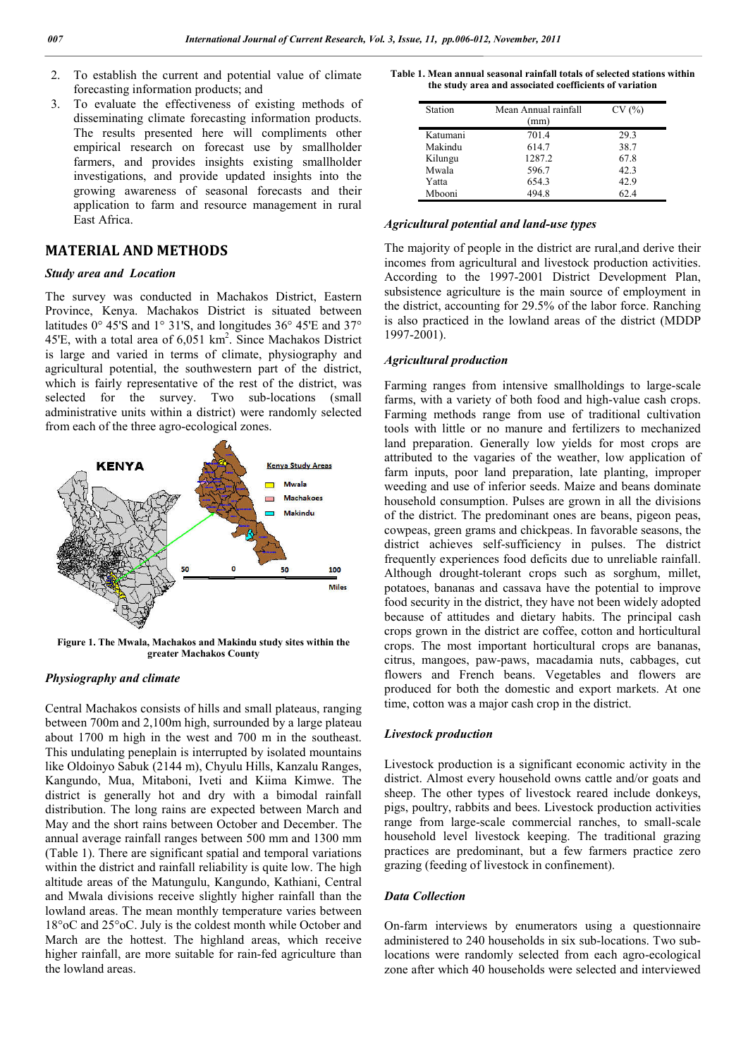- 2. To establish the current and potential value of climate forecasting information products; and
- 3. To evaluate the effectiveness of existing methods of disseminating climate forecasting information products. The results presented here will compliments other empirical research on forecast use by smallholder farmers, and provides insights existing smallholder investigations, and provide updated insights into the growing awareness of seasonal forecasts and their application to farm and resource management in rural East Africa.

## **MATERIAL AND METHODS**

#### *Study area and Location*

The survey was conducted in Machakos District, Eastern Province, Kenya. Machakos District is situated between latitudes 0° 45'S and 1° 31'S, and longitudes 36° 45'E and 37° 45'E, with a total area of  $6,051 \text{ km}^2$ . Since Machakos District is large and varied in terms of climate, physiography and agricultural potential, the southwestern part of the district, which is fairly representative of the rest of the district, was selected for the survey. Two sub-locations (small administrative units within a district) were randomly selected from each of the three agro-ecological zones.



**Figure 1. The Mwala, Machakos and Makindu study sites within the greater Machakos County**

## *Physiography and climate*

Central Machakos consists of hills and small plateaus, ranging between 700m and 2,100m high, surrounded by a large plateau about 1700 m high in the west and 700 m in the southeast. This undulating peneplain is interrupted by isolated mountains like Oldoinyo Sabuk (2144 m), Chyulu Hills, Kanzalu Ranges, Kangundo, Mua, Mitaboni, Iveti and Kiima Kimwe. The district is generally hot and dry with a bimodal rainfall distribution. The long rains are expected between March and May and the short rains between October and December. The annual average rainfall ranges between 500 mm and 1300 mm (Table 1). There are significant spatial and temporal variations within the district and rainfall reliability is quite low. The high altitude areas of the Matungulu, Kangundo, Kathiani, Central and Mwala divisions receive slightly higher rainfall than the lowland areas. The mean monthly temperature varies between 18°oC and 25°oC. July is the coldest month while October and March are the hottest. The highland areas, which receive higher rainfall, are more suitable for rain-fed agriculture than the lowland areas.

**Table 1. Mean annual seasonal rainfall totals of selected stations within the study area and associated coefficients of variation**

| Station  | Mean Annual rainfall<br>(mm) | CV(%) |
|----------|------------------------------|-------|
| Katumani | 701.4                        | 29.3  |
| Makindu  | 614.7                        | 38.7  |
| Kilungu  | 1287.2                       | 67.8  |
| Mwala    | 596.7                        | 42.3  |
| Yatta    | 654.3                        | 42.9  |
| Mbooni   | 4948                         | 62.4  |

#### *Agricultural potential and land-use types*

The majority of people in the district are rural,and derive their incomes from agricultural and livestock production activities. According to the 1997-2001 District Development Plan, subsistence agriculture is the main source of employment in the district, accounting for 29.5% of the labor force. Ranching is also practiced in the lowland areas of the district (MDDP 1997-2001).

## *Agricultural production*

Farming ranges from intensive smallholdings to large-scale farms, with a variety of both food and high-value cash crops. Farming methods range from use of traditional cultivation tools with little or no manure and fertilizers to mechanized land preparation. Generally low yields for most crops are attributed to the vagaries of the weather, low application of farm inputs, poor land preparation, late planting, improper weeding and use of inferior seeds. Maize and beans dominate household consumption. Pulses are grown in all the divisions of the district. The predominant ones are beans, pigeon peas, cowpeas, green grams and chickpeas. In favorable seasons, the district achieves self-sufficiency in pulses. The district frequently experiences food deficits due to unreliable rainfall. Although drought-tolerant crops such as sorghum, millet, potatoes, bananas and cassava have the potential to improve food security in the district, they have not been widely adopted because of attitudes and dietary habits. The principal cash crops grown in the district are coffee, cotton and horticultural crops. The most important horticultural crops are bananas, citrus, mangoes, paw-paws, macadamia nuts, cabbages, cut flowers and French beans. Vegetables and flowers are produced for both the domestic and export markets. At one time, cotton was a major cash crop in the district.

## *Livestock production*

Livestock production is a significant economic activity in the district. Almost every household owns cattle and/or goats and sheep. The other types of livestock reared include donkeys, pigs, poultry, rabbits and bees. Livestock production activities range from large-scale commercial ranches, to small-scale household level livestock keeping. The traditional grazing practices are predominant, but a few farmers practice zero grazing (feeding of livestock in confinement).

#### *Data Collection*

On-farm interviews by enumerators using a questionnaire administered to 240 households in six sub-locations. Two sublocations were randomly selected from each agro-ecological zone after which 40 households were selected and interviewed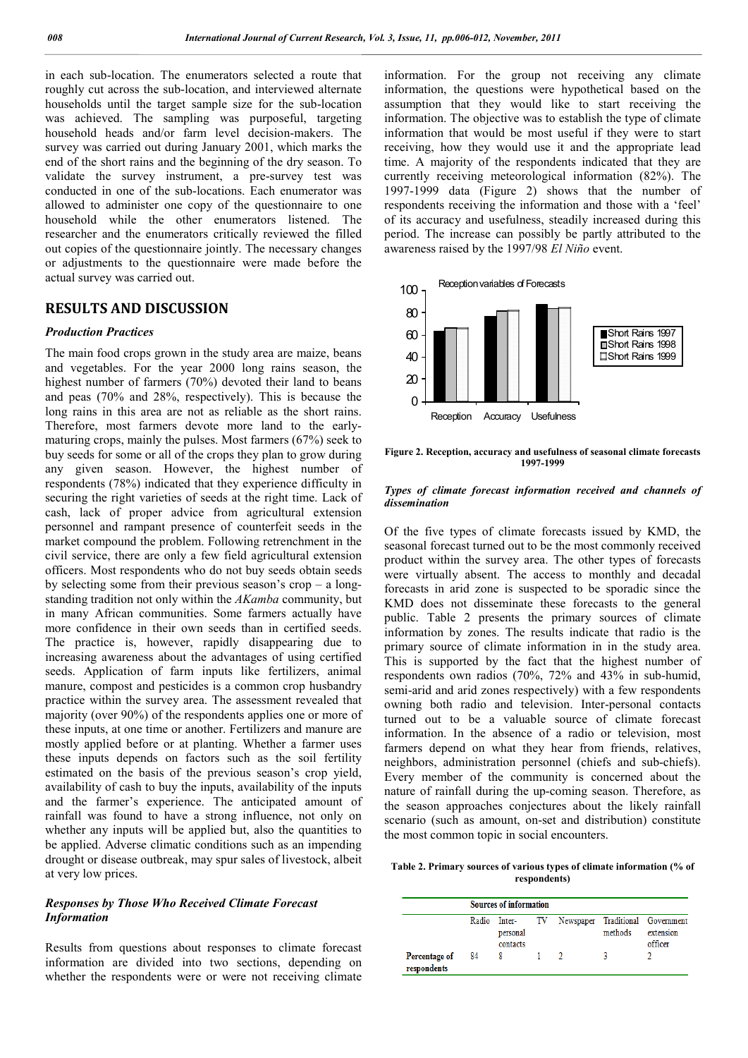in each sub-location. The enumerators selected a route that roughly cut across the sub-location, and interviewed alternate households until the target sample size for the sub-location was achieved. The sampling was purposeful, targeting household heads and/or farm level decision-makers. The survey was carried out during January 2001, which marks the end of the short rains and the beginning of the dry season. To validate the survey instrument, a pre-survey test was conducted in one of the sub-locations. Each enumerator was allowed to administer one copy of the questionnaire to one household while the other enumerators listened. The researcher and the enumerators critically reviewed the filled out copies of the questionnaire jointly. The necessary changes or adjustments to the questionnaire were made before the actual survey was carried out.

## **RESULTS AND DISCUSSION**

### *Production Practices*

The main food crops grown in the study area are maize, beans and vegetables. For the year 2000 long rains season, the highest number of farmers (70%) devoted their land to beans and peas (70% and 28%, respectively). This is because the long rains in this area are not as reliable as the short rains. Therefore, most farmers devote more land to the earlymaturing crops, mainly the pulses. Most farmers (67%) seek to buy seeds for some or all of the crops they plan to grow during any given season. However, the highest number of respondents (78%) indicated that they experience difficulty in securing the right varieties of seeds at the right time. Lack of cash, lack of proper advice from agricultural extension personnel and rampant presence of counterfeit seeds in the market compound the problem. Following retrenchment in the civil service, there are only a few field agricultural extension officers. Most respondents who do not buy seeds obtain seeds by selecting some from their previous season's crop – a longstanding tradition not only within the *AKamba* community, but in many African communities. Some farmers actually have more confidence in their own seeds than in certified seeds. The practice is, however, rapidly disappearing due to increasing awareness about the advantages of using certified seeds. Application of farm inputs like fertilizers, animal manure, compost and pesticides is a common crop husbandry practice within the survey area. The assessment revealed that majority (over 90%) of the respondents applies one or more of these inputs, at one time or another. Fertilizers and manure are mostly applied before or at planting. Whether a farmer uses these inputs depends on factors such as the soil fertility estimated on the basis of the previous season's crop yield, availability of cash to buy the inputs, availability of the inputs and the farmer's experience. The anticipated amount of rainfall was found to have a strong influence, not only on whether any inputs will be applied but, also the quantities to be applied. Adverse climatic conditions such as an impending drought or disease outbreak, may spur sales of livestock, albeit at very low prices.

## *Responses by Those Who Received Climate Forecast Information*

Results from questions about responses to climate forecast information are divided into two sections, depending on whether the respondents were or were not receiving climate

information. For the group not receiving any climate information, the questions were hypothetical based on the assumption that they would like to start receiving the information. The objective was to establish the type of climate information that would be most useful if they were to start receiving, how they would use it and the appropriate lead time. A majority of the respondents indicated that they are currently receiving meteorological information (82%). The 1997-1999 data (Figure 2) shows that the number of respondents receiving the information and those with a 'feel' of its accuracy and usefulness, steadily increased during this period. The increase can possibly be partly attributed to the awareness raised by the 1997/98 *El Niño* event.



**Figure 2. Reception, accuracy and usefulness of seasonal climate forecasts 1997-1999**

### *Types of climate forecast information received and channels of dissemination*

Of the five types of climate forecasts issued by KMD, the seasonal forecast turned out to be the most commonly received product within the survey area. The other types of forecasts were virtually absent. The access to monthly and decadal forecasts in arid zone is suspected to be sporadic since the KMD does not disseminate these forecasts to the general public. Table 2 presents the primary sources of climate information by zones. The results indicate that radio is the primary source of climate information in in the study area. This is supported by the fact that the highest number of respondents own radios (70%, 72% and 43% in sub-humid, semi-arid and arid zones respectively) with a few respondents owning both radio and television. Inter-personal contacts turned out to be a valuable source of climate forecast information. In the absence of a radio or television, most farmers depend on what they hear from friends, relatives, neighbors, administration personnel (chiefs and sub-chiefs). Every member of the community is concerned about the nature of rainfall during the up-coming season. Therefore, as the season approaches conjectures about the likely rainfall scenario (such as amount, on-set and distribution) constitute the most common topic in social encounters.

**Table 2. Primary sources of various types of climate information (% of respondents)**

|                              | <b>Sources of information</b> |                      |  |                                                  |         |                      |
|------------------------------|-------------------------------|----------------------|--|--------------------------------------------------|---------|----------------------|
|                              |                               | personal<br>contacts |  | Radio Inter- TV Newspaper Traditional Government | methods | extension<br>officer |
| Percentage of<br>respondents | 84                            | 8                    |  |                                                  |         |                      |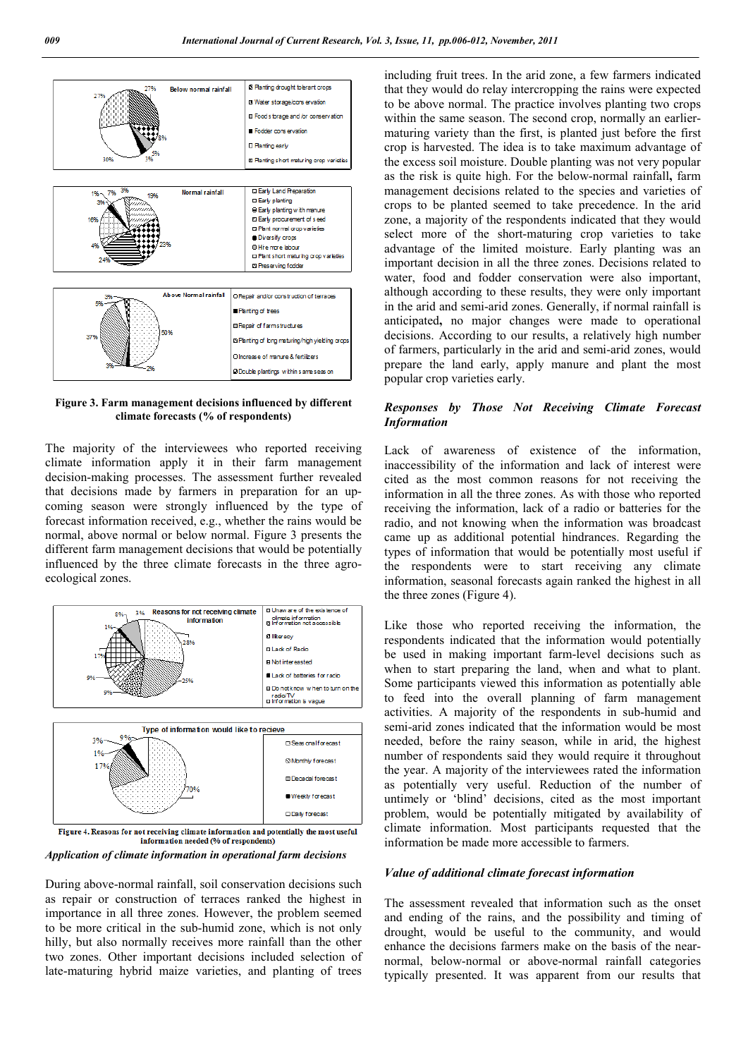

**Figure 3. Farm management decisions influenced by different climate forecasts (% of respondents)**

The majority of the interviewees who reported receiving climate information apply it in their farm management decision-making processes. The assessment further revealed that decisions made by farmers in preparation for an upcoming season were strongly influenced by the type of forecast information received, e.g., whether the rains would be normal, above normal or below normal. Figure 3 presents the different farm management decisions that would be potentially influenced by the three climate forecasts in the three agroecological zones.



*Application of climate information in operational farm decisions*

During above-normal rainfall, soil conservation decisions such as repair or construction of terraces ranked the highest in importance in all three zones. However, the problem seemed to be more critical in the sub-humid zone, which is not only hilly, but also normally receives more rainfall than the other two zones. Other important decisions included selection of late-maturing hybrid maize varieties, and planting of trees

including fruit trees. In the arid zone, a few farmers indicated that they would do relay intercropping the rains were expected to be above normal. The practice involves planting two crops within the same season. The second crop, normally an earliermaturing variety than the first, is planted just before the first crop is harvested. The idea is to take maximum advantage of the excess soil moisture. Double planting was not very popular as the risk is quite high. For the below-normal rainfall**,** farm management decisions related to the species and varieties of crops to be planted seemed to take precedence. In the arid zone, a majority of the respondents indicated that they would select more of the short-maturing crop varieties to take advantage of the limited moisture. Early planting was an important decision in all the three zones. Decisions related to water, food and fodder conservation were also important, although according to these results, they were only important in the arid and semi-arid zones. Generally, if normal rainfall is anticipated**,** no major changes were made to operational decisions. According to our results, a relatively high number of farmers, particularly in the arid and semi-arid zones, would prepare the land early, apply manure and plant the most popular crop varieties early.

## *Responses by Those Not Receiving Climate Forecast Information*

Lack of awareness of existence of the information, inaccessibility of the information and lack of interest were cited as the most common reasons for not receiving the information in all the three zones. As with those who reported receiving the information, lack of a radio or batteries for the radio, and not knowing when the information was broadcast came up as additional potential hindrances. Regarding the types of information that would be potentially most useful if the respondents were to start receiving any climate information, seasonal forecasts again ranked the highest in all the three zones (Figure 4).

Like those who reported receiving the information, the respondents indicated that the information would potentially be used in making important farm-level decisions such as when to start preparing the land, when and what to plant. Some participants viewed this information as potentially able to feed into the overall planning of farm management activities. A majority of the respondents in sub-humid and semi-arid zones indicated that the information would be most needed, before the rainy season, while in arid, the highest number of respondents said they would require it throughout the year. A majority of the interviewees rated the information as potentially very useful. Reduction of the number of untimely or 'blind' decisions, cited as the most important problem, would be potentially mitigated by availability of climate information. Most participants requested that the information be made more accessible to farmers.

## *Value of additional climate forecast information*

The assessment revealed that information such as the onset and ending of the rains, and the possibility and timing of drought, would be useful to the community, and would enhance the decisions farmers make on the basis of the nearnormal, below-normal or above-normal rainfall categories typically presented. It was apparent from our results that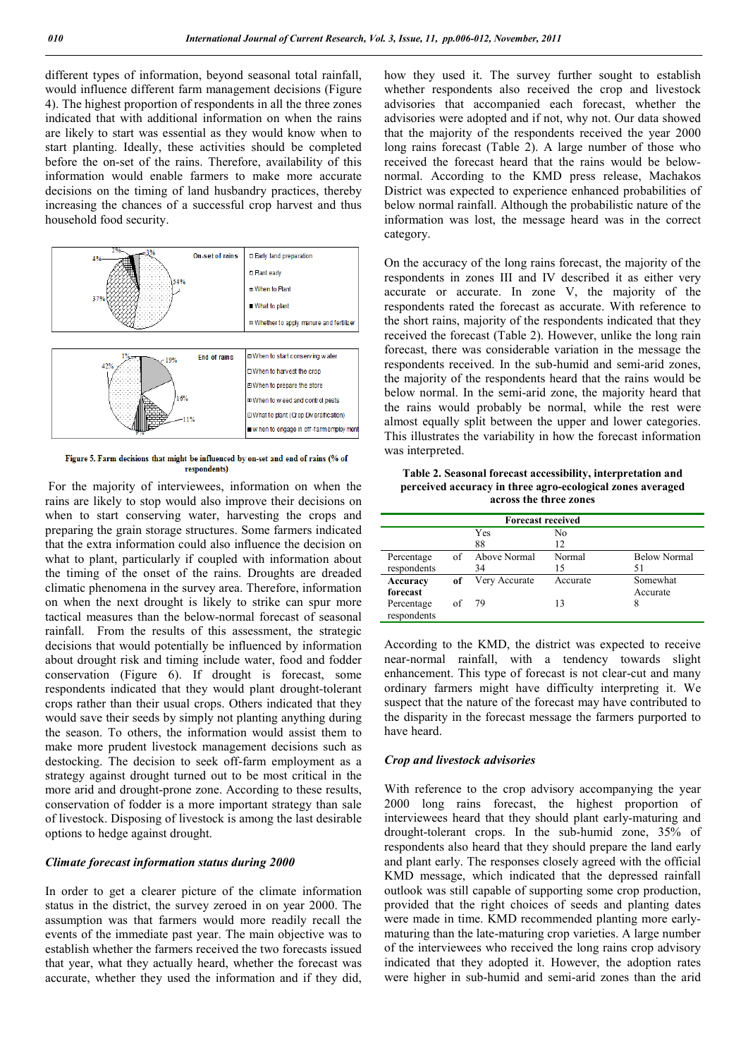different types of information, beyond seasonal total rainfall, would influence different farm management decisions (Figure 4). The highest proportion of respondents in all the three zones indicated that with additional information on when the rains are likely to start was essential as they would know when to start planting. Ideally, these activities should be completed before the on-set of the rains. Therefore, availability of this information would enable farmers to make more accurate decisions on the timing of land husbandry practices, thereby increasing the chances of a successful crop harvest and thus household food security.



Figure 5. Farm decisions that might be influenced by on-set and end of rains (% of respondents)

For the majority of interviewees, information on when the rains are likely to stop would also improve their decisions on when to start conserving water, harvesting the crops and preparing the grain storage structures. Some farmers indicated that the extra information could also influence the decision on what to plant, particularly if coupled with information about the timing of the onset of the rains. Droughts are dreaded climatic phenomena in the survey area. Therefore, information on when the next drought is likely to strike can spur more tactical measures than the below-normal forecast of seasonal rainfall. From the results of this assessment, the strategic decisions that would potentially be influenced by information about drought risk and timing include water, food and fodder conservation (Figure 6). If drought is forecast, some respondents indicated that they would plant drought-tolerant crops rather than their usual crops. Others indicated that they would save their seeds by simply not planting anything during the season. To others, the information would assist them to make more prudent livestock management decisions such as destocking. The decision to seek off-farm employment as a strategy against drought turned out to be most critical in the more arid and drought-prone zone. According to these results, conservation of fodder is a more important strategy than sale of livestock. Disposing of livestock is among the last desirable options to hedge against drought.

## *Climate forecast information status during 2000*

In order to get a clearer picture of the climate information status in the district, the survey zeroed in on year 2000. The assumption was that farmers would more readily recall the events of the immediate past year. The main objective was to establish whether the farmers received the two forecasts issued that year, what they actually heard, whether the forecast was accurate, whether they used the information and if they did,

how they used it. The survey further sought to establish whether respondents also received the crop and livestock advisories that accompanied each forecast, whether the advisories were adopted and if not, why not. Our data showed that the majority of the respondents received the year 2000 long rains forecast (Table 2). A large number of those who received the forecast heard that the rains would be belownormal. According to the KMD press release, Machakos District was expected to experience enhanced probabilities of below normal rainfall. Although the probabilistic nature of the information was lost, the message heard was in the correct category.

On the accuracy of the long rains forecast, the majority of the respondents in zones III and IV described it as either very accurate or accurate. In zone V, the majority of the respondents rated the forecast as accurate. With reference to the short rains, majority of the respondents indicated that they received the forecast (Table 2). However, unlike the long rain forecast, there was considerable variation in the message the respondents received. In the sub-humid and semi-arid zones, the majority of the respondents heard that the rains would be below normal. In the semi-arid zone, the majority heard that the rains would probably be normal, while the rest were almost equally split between the upper and lower categories. This illustrates the variability in how the forecast information was interpreted.

**Table 2. Seasonal forecast accessibility, interpretation and perceived accuracy in three agro-ecological zones averaged across the three zones**

| <b>Forecast received</b>  |    |                    |              |                           |  |
|---------------------------|----|--------------------|--------------|---------------------------|--|
|                           |    | Yes<br>88          | No<br>12     |                           |  |
| Percentage<br>respondents | of | Above Normal<br>34 | Normal<br>15 | <b>Below Normal</b><br>51 |  |
| Accuracy<br>forecast      | of | Very Accurate      | Accurate     | Somewhat<br>Accurate      |  |
| Percentage<br>respondents | of | -79                | 13           |                           |  |

According to the KMD, the district was expected to receive near-normal rainfall, with a tendency towards slight enhancement. This type of forecast is not clear-cut and many ordinary farmers might have difficulty interpreting it. We suspect that the nature of the forecast may have contributed to the disparity in the forecast message the farmers purported to have heard.

#### *Crop and livestock advisories*

With reference to the crop advisory accompanying the year 2000 long rains forecast, the highest proportion of interviewees heard that they should plant early-maturing and drought-tolerant crops. In the sub-humid zone, 35% of respondents also heard that they should prepare the land early and plant early. The responses closely agreed with the official KMD message, which indicated that the depressed rainfall outlook was still capable of supporting some crop production, provided that the right choices of seeds and planting dates were made in time. KMD recommended planting more earlymaturing than the late-maturing crop varieties. A large number of the interviewees who received the long rains crop advisory indicated that they adopted it. However, the adoption rates were higher in sub-humid and semi-arid zones than the arid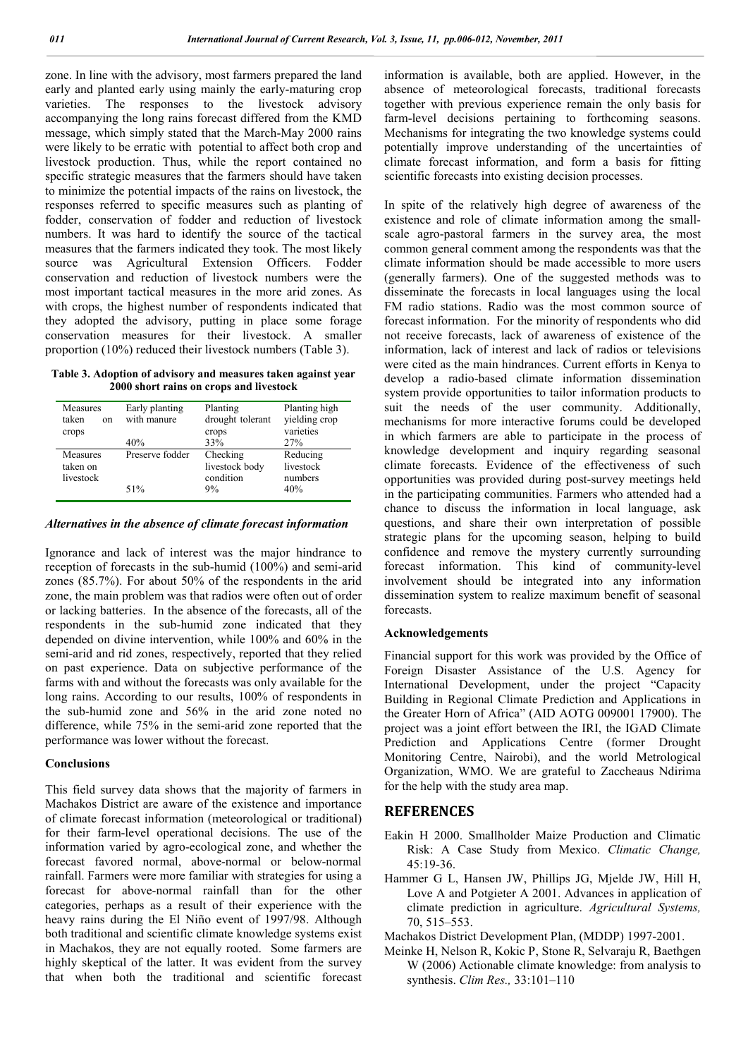zone. In line with the advisory, most farmers prepared the land early and planted early using mainly the early-maturing crop varieties. The responses to the livestock advisory accompanying the long rains forecast differed from the KMD message, which simply stated that the March-May 2000 rains were likely to be erratic with potential to affect both crop and livestock production. Thus, while the report contained no specific strategic measures that the farmers should have taken to minimize the potential impacts of the rains on livestock, the responses referred to specific measures such as planting of fodder, conservation of fodder and reduction of livestock numbers. It was hard to identify the source of the tactical measures that the farmers indicated they took. The most likely source was Agricultural Extension Officers. Fodder conservation and reduction of livestock numbers were the most important tactical measures in the more arid zones. As with crops, the highest number of respondents indicated that they adopted the advisory, putting in place some forage conservation measures for their livestock. A smaller proportion (10%) reduced their livestock numbers (Table 3).

**Table 3. Adoption of advisory and measures taken against year 2000 short rains on crops and livestock**

| Measures<br>taken<br><sub>on</sub><br>crops | Early planting<br>with manure | Planting<br>drought tolerant<br>crops   | Planting high<br>yielding crop<br>varieties |  |
|---------------------------------------------|-------------------------------|-----------------------------------------|---------------------------------------------|--|
|                                             | 40%                           | 33%                                     | 27%                                         |  |
| Measures<br>taken on<br>livestock           | Preserve fodder               | Checking<br>livestock body<br>condition | Reducing<br>livestock<br>numbers            |  |
|                                             | 51%                           | 9%                                      | 40%                                         |  |

#### *Alternatives in the absence of climate forecast information*

Ignorance and lack of interest was the major hindrance to reception of forecasts in the sub-humid (100%) and semi-arid zones (85.7%). For about 50% of the respondents in the arid zone, the main problem was that radios were often out of order or lacking batteries. In the absence of the forecasts, all of the respondents in the sub-humid zone indicated that they depended on divine intervention, while 100% and 60% in the semi-arid and rid zones, respectively, reported that they relied on past experience. Data on subjective performance of the farms with and without the forecasts was only available for the long rains. According to our results, 100% of respondents in the sub-humid zone and 56% in the arid zone noted no difference, while 75% in the semi-arid zone reported that the performance was lower without the forecast.

#### **Conclusions**

This field survey data shows that the majority of farmers in Machakos District are aware of the existence and importance of climate forecast information (meteorological or traditional) for their farm-level operational decisions. The use of the information varied by agro-ecological zone, and whether the forecast favored normal, above-normal or below-normal rainfall. Farmers were more familiar with strategies for using a forecast for above-normal rainfall than for the other categories, perhaps as a result of their experience with the heavy rains during the El Niño event of 1997/98. Although both traditional and scientific climate knowledge systems exist in Machakos, they are not equally rooted. Some farmers are highly skeptical of the latter. It was evident from the survey that when both the traditional and scientific forecast

information is available, both are applied. However, in the absence of meteorological forecasts, traditional forecasts together with previous experience remain the only basis for farm-level decisions pertaining to forthcoming seasons. Mechanisms for integrating the two knowledge systems could potentially improve understanding of the uncertainties of climate forecast information, and form a basis for fitting scientific forecasts into existing decision processes.

In spite of the relatively high degree of awareness of the existence and role of climate information among the smallscale agro-pastoral farmers in the survey area, the most common general comment among the respondents was that the climate information should be made accessible to more users (generally farmers). One of the suggested methods was to disseminate the forecasts in local languages using the local FM radio stations. Radio was the most common source of forecast information. For the minority of respondents who did not receive forecasts, lack of awareness of existence of the information, lack of interest and lack of radios or televisions were cited as the main hindrances. Current efforts in Kenya to develop a radio-based climate information dissemination system provide opportunities to tailor information products to suit the needs of the user community. Additionally, mechanisms for more interactive forums could be developed in which farmers are able to participate in the process of knowledge development and inquiry regarding seasonal climate forecasts. Evidence of the effectiveness of such opportunities was provided during post-survey meetings held in the participating communities. Farmers who attended had a chance to discuss the information in local language, ask questions, and share their own interpretation of possible strategic plans for the upcoming season, helping to build confidence and remove the mystery currently surrounding forecast information. This kind of community-level involvement should be integrated into any information dissemination system to realize maximum benefit of seasonal forecasts.

#### **Acknowledgements**

Financial support for this work was provided by the Office of Foreign Disaster Assistance of the U.S. Agency for International Development, under the project "Capacity Building in Regional Climate Prediction and Applications in the Greater Horn of Africa" (AID AOTG 009001 17900). The project was a joint effort between the IRI, the IGAD Climate Prediction and Applications Centre (former Drought Monitoring Centre, Nairobi), and the world Metrological Organization, WMO. We are grateful to Zaccheaus Ndirima for the help with the study area map.

## **REFERENCES**

- Eakin H 2000. Smallholder Maize Production and Climatic Risk: A Case Study from Mexico. *Climatic Change,* 45:19-36.
- Hammer G L, Hansen JW, Phillips JG, Mjelde JW, Hill H, Love A and Potgieter A 2001. Advances in application of climate prediction in agriculture. *Agricultural Systems,* 70, 515–553.
- Machakos District Development Plan, (MDDP) 1997-2001.
- Meinke H, Nelson R, Kokic P, Stone R, Selvaraju R, Baethgen W (2006) Actionable climate knowledge: from analysis to synthesis. *Clim Res.,* 33:101–110